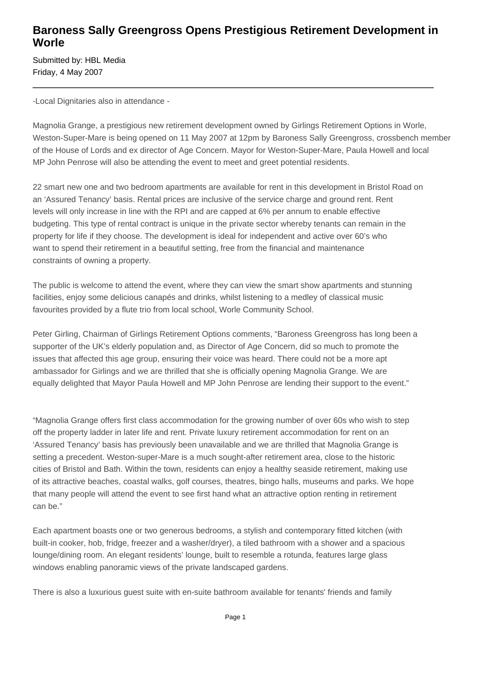## **Baroness Sally Greengross Opens Prestigious Retirement Development in Worle**

Submitted by: HBL Media Friday, 4 May 2007

-Local Dignitaries also in attendance -

Magnolia Grange, a prestigious new retirement development owned by Girlings Retirement Options in Worle, Weston-Super-Mare is being opened on 11 May 2007 at 12pm by Baroness Sally Greengross, crossbench member of the House of Lords and ex director of Age Concern. Mayor for Weston-Super-Mare, Paula Howell and local MP John Penrose will also be attending the event to meet and greet potential residents.

22 smart new one and two bedroom apartments are available for rent in this development in Bristol Road on an 'Assured Tenancy' basis. Rental prices are inclusive of the service charge and ground rent. Rent levels will only increase in line with the RPI and are capped at 6% per annum to enable effective budgeting. This type of rental contract is unique in the private sector whereby tenants can remain in the property for life if they choose. The development is ideal for independent and active over 60's who want to spend their retirement in a beautiful setting, free from the financial and maintenance constraints of owning a property.

The public is welcome to attend the event, where they can view the smart show apartments and stunning facilities, enjoy some delicious canapés and drinks, whilst listening to a medley of classical music favourites provided by a flute trio from local school, Worle Community School.

Peter Girling, Chairman of Girlings Retirement Options comments, "Baroness Greengross has long been a supporter of the UK's elderly population and, as Director of Age Concern, did so much to promote the issues that affected this age group, ensuring their voice was heard. There could not be a more apt ambassador for Girlings and we are thrilled that she is officially opening Magnolia Grange. We are equally delighted that Mayor Paula Howell and MP John Penrose are lending their support to the event."

"Magnolia Grange offers first class accommodation for the growing number of over 60s who wish to step off the property ladder in later life and rent. Private luxury retirement accommodation for rent on an 'Assured Tenancy' basis has previously been unavailable and we are thrilled that Magnolia Grange is setting a precedent. Weston-super-Mare is a much sought-after retirement area, close to the historic cities of Bristol and Bath. Within the town, residents can enjoy a healthy seaside retirement, making use of its attractive beaches, coastal walks, golf courses, theatres, bingo halls, museums and parks. We hope that many people will attend the event to see first hand what an attractive option renting in retirement can be."

Each apartment boasts one or two generous bedrooms, a stylish and contemporary fitted kitchen (with built-in cooker, hob, fridge, freezer and a washer/dryer), a tiled bathroom with a shower and a spacious lounge/dining room. An elegant residents' lounge, built to resemble a rotunda, features large glass windows enabling panoramic views of the private landscaped gardens.

There is also a luxurious guest suite with en-suite bathroom available for tenants' friends and family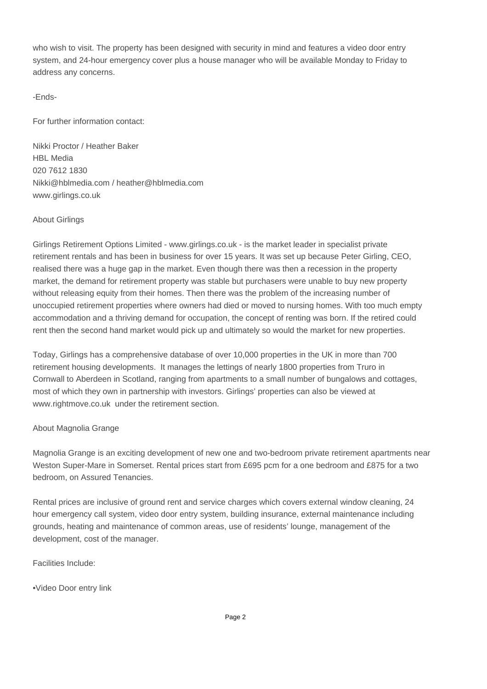who wish to visit. The property has been designed with security in mind and features a video door entry system, and 24-hour emergency cover plus a house manager who will be available Monday to Friday to address any concerns.

-Ends-

For further information contact:

Nikki Proctor / Heather Baker HBL Media 020 7612 1830 Nikki@hblmedia.com / heather@hblmedia.com www.girlings.co.uk

## About Girlings

Girlings Retirement Options Limited - www.girlings.co.uk - is the market leader in specialist private retirement rentals and has been in business for over 15 years. It was set up because Peter Girling, CEO, realised there was a huge gap in the market. Even though there was then a recession in the property market, the demand for retirement property was stable but purchasers were unable to buy new property without releasing equity from their homes. Then there was the problem of the increasing number of unoccupied retirement properties where owners had died or moved to nursing homes. With too much empty accommodation and a thriving demand for occupation, the concept of renting was born. If the retired could rent then the second hand market would pick up and ultimately so would the market for new properties.

Today, Girlings has a comprehensive database of over 10,000 properties in the UK in more than 700 retirement housing developments. It manages the lettings of nearly 1800 properties from Truro in Cornwall to Aberdeen in Scotland, ranging from apartments to a small number of bungalows and cottages, most of which they own in partnership with investors. Girlings' properties can also be viewed at www.rightmove.co.uk under the retirement section.

## About Magnolia Grange

Magnolia Grange is an exciting development of new one and two-bedroom private retirement apartments near Weston Super-Mare in Somerset. Rental prices start from £695 pcm for a one bedroom and £875 for a two bedroom, on Assured Tenancies.

Rental prices are inclusive of ground rent and service charges which covers external window cleaning, 24 hour emergency call system, video door entry system, building insurance, external maintenance including grounds, heating and maintenance of common areas, use of residents' lounge, management of the development, cost of the manager.

Facilities Include:

• Video Door entry link